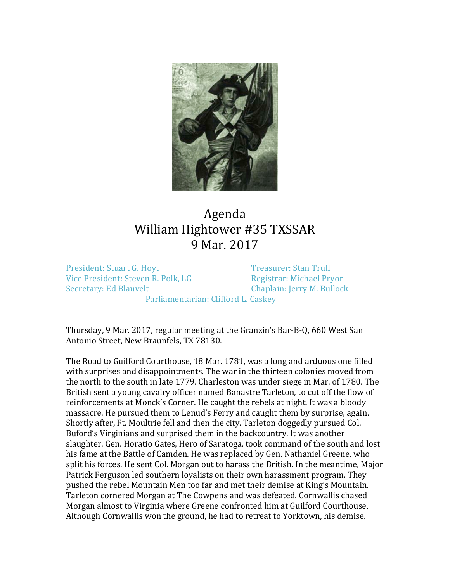

## Agenda William Hightower #35 TXSSAR 9 Mar. 2017

President: Stuart G. Hoyt<br>
Vice President: Steven R. Polk, LG<br>
Vice President: Steven R. Polk, LG<br>
Registrar: Michael Pryor Vice President: Steven R. Polk, LG<br>Secretary: Ed Blauvelt

Chaplain: Jerry M. Bullock

Parliamentarian: Clifford L. Caskey

Thursday, 9 Mar. 2017, regular meeting at the Granzin's Bar-B-Q, 660 West San Antonio Street, New Braunfels, TX 78130.

The Road to Guilford Courthouse, 18 Mar. 1781, was a long and arduous one filled with surprises and disappointments. The war in the thirteen colonies moved from the north to the south in late 1779. Charleston was under siege in Mar. of 1780. The British sent a young cavalry officer named Banastre Tarleton, to cut off the flow of reinforcements at Monck's Corner. He caught the rebels at night. It was a bloody massacre. He pursued them to Lenud's Ferry and caught them by surprise, again. Shortly after, Ft. Moultrie fell and then the city. Tarleton doggedly pursued Col. Buford's Virginians and surprised them in the backcountry. It was another slaughter. Gen. Horatio Gates, Hero of Saratoga, took command of the south and lost his fame at the Battle of Camden. He was replaced by Gen. Nathaniel Greene, who split his forces. He sent Col. Morgan out to harass the British. In the meantime, Major Patrick Ferguson led southern loyalists on their own harassment program. They pushed the rebel Mountain Men too far and met their demise at King's Mountain. Tarleton cornered Morgan at The Cowpens and was defeated. Cornwallis chased Morgan almost to Virginia where Greene confronted him at Guilford Courthouse. Although Cornwallis won the ground, he had to retreat to Yorktown, his demise.